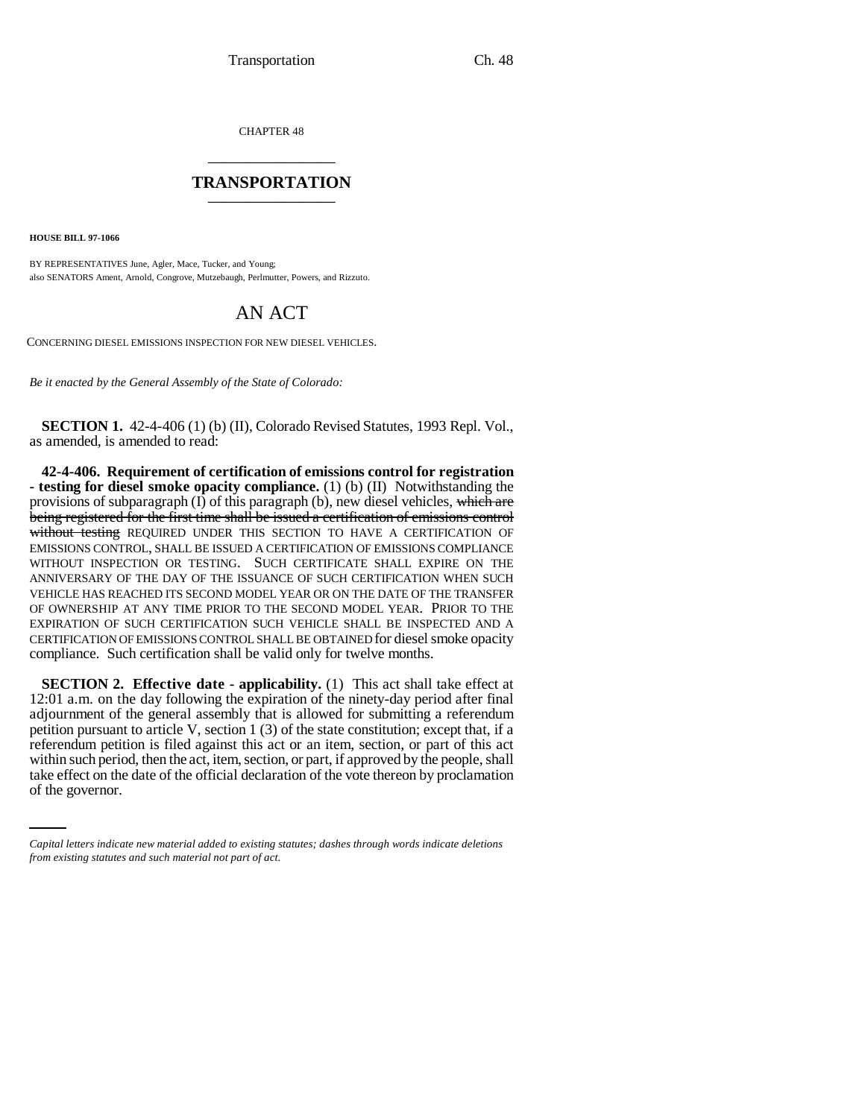CHAPTER 48 \_\_\_\_\_\_\_\_\_\_\_\_\_\_\_

## **TRANSPORTATION** \_\_\_\_\_\_\_\_\_\_\_\_\_\_\_

**HOUSE BILL 97-1066**

BY REPRESENTATIVES June, Agler, Mace, Tucker, and Young; also SENATORS Ament, Arnold, Congrove, Mutzebaugh, Perlmutter, Powers, and Rizzuto.

## AN ACT

CONCERNING DIESEL EMISSIONS INSPECTION FOR NEW DIESEL VEHICLES.

*Be it enacted by the General Assembly of the State of Colorado:*

**SECTION 1.** 42-4-406 (1) (b) (II), Colorado Revised Statutes, 1993 Repl. Vol., as amended, is amended to read:

**42-4-406. Requirement of certification of emissions control for registration - testing for diesel smoke opacity compliance.** (1) (b) (II) Notwithstanding the provisions of subparagraph  $(I)$  of this paragraph (b), new diesel vehicles, which are being registered for the first time shall be issued a certification of emissions control without testing REQUIRED UNDER THIS SECTION TO HAVE A CERTIFICATION OF EMISSIONS CONTROL, SHALL BE ISSUED A CERTIFICATION OF EMISSIONS COMPLIANCE WITHOUT INSPECTION OR TESTING. SUCH CERTIFICATE SHALL EXPIRE ON THE ANNIVERSARY OF THE DAY OF THE ISSUANCE OF SUCH CERTIFICATION WHEN SUCH VEHICLE HAS REACHED ITS SECOND MODEL YEAR OR ON THE DATE OF THE TRANSFER OF OWNERSHIP AT ANY TIME PRIOR TO THE SECOND MODEL YEAR. PRIOR TO THE EXPIRATION OF SUCH CERTIFICATION SUCH VEHICLE SHALL BE INSPECTED AND A CERTIFICATION OF EMISSIONS CONTROL SHALL BE OBTAINED for diesel smoke opacity compliance. Such certification shall be valid only for twelve months.

within such period, then the act, item, section, or part, if approved by the people, shall **SECTION 2. Effective date - applicability.** (1) This act shall take effect at 12:01 a.m. on the day following the expiration of the ninety-day period after final adjournment of the general assembly that is allowed for submitting a referendum petition pursuant to article V, section 1 (3) of the state constitution; except that, if a referendum petition is filed against this act or an item, section, or part of this act take effect on the date of the official declaration of the vote thereon by proclamation of the governor.

*Capital letters indicate new material added to existing statutes; dashes through words indicate deletions from existing statutes and such material not part of act.*